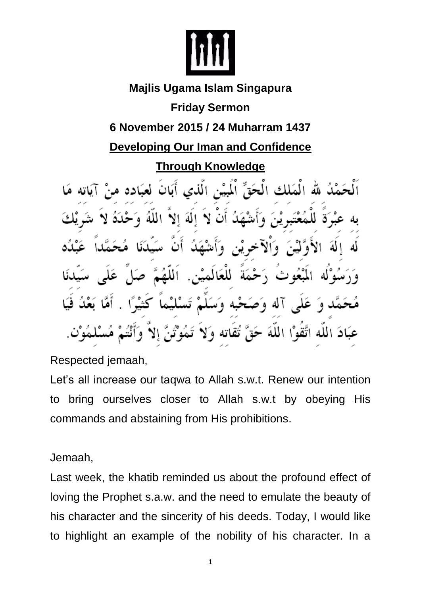

## **Majlis Ugama Islam Singapura Friday Sermon 6 November 2015 / 24 Muharram 1437 Developing Our Iman and Confidence Through Knowledge**  الْمَلك الْحَقِّ اْلْمَيْنِ الَّذي أَبَانَ لعبَاده مر

الة الا الله اتَّقوْا اللَّهَ تقاته

Respected jemaah,

Let's all increase our taqwa to Allah s.w.t. Renew our intention to bring ourselves closer to Allah s.w.t by obeying His commands and abstaining from His prohibitions.

Jemaah,

Last week, the khatib reminded us about the profound effect of loving the Prophet s.a.w. and the need to emulate the beauty of his character and the sincerity of his deeds. Today, I would like to highlight an example of the nobility of his character. In a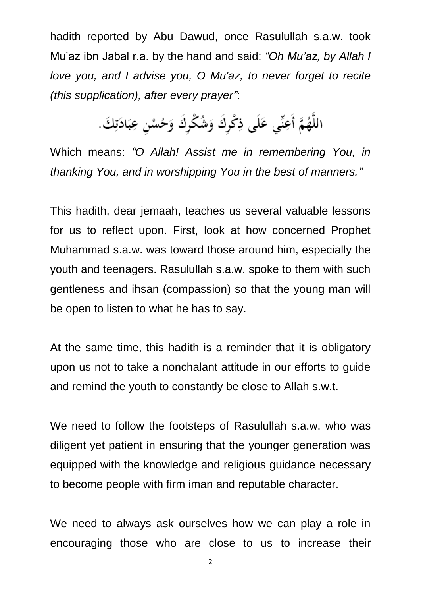hadith reported by Abu Dawud, once Rasulullah s.a.w. took Mu'az ibn Jabal r.a. by the hand and said: *"Oh Mu'az, by Allah I love you, and I advise you, O Mu'az, to never forget to recite (this supplication), after every prayer"*:

اللَّهُمَّ أَعِنِّى عَلَى ذِكْرِكَ وَشُكْرِكَ وَحُسْنِ عِبَادَتِكَ.

Which means: *"O Allah! Assist me in remembering You, in thanking You, and in worshipping You in the best of manners."*

This hadith, dear jemaah, teaches us several valuable lessons for us to reflect upon. First, look at how concerned Prophet Muhammad s.a.w. was toward those around him, especially the youth and teenagers. Rasulullah s.a.w. spoke to them with such gentleness and ihsan (compassion) so that the young man will be open to listen to what he has to say.

At the same time, this hadith is a reminder that it is obligatory upon us not to take a nonchalant attitude in our efforts to guide and remind the youth to constantly be close to Allah s.w.t.

We need to follow the footsteps of Rasulullah s.a.w. who was diligent yet patient in ensuring that the younger generation was equipped with the knowledge and religious guidance necessary to become people with firm iman and reputable character.

We need to always ask ourselves how we can play a role in encouraging those who are close to us to increase their

2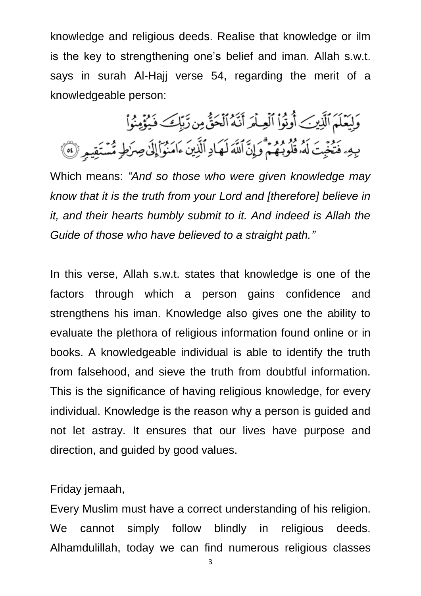knowledge and religious deeds. Realise that knowledge or ilm is the key to strengthening one's belief and iman. Allah s.w.t. says in surah Al-Hajj verse 54, regarding the merit of a knowledgeable person:

وَلِيَعْلَمَ ٱلَّذِينَ أُوتُواْ ٱلْعِلْمَ أَنَّهُ ٱلْحَقُّ مِن زَّبِّكَ فَيُؤْمِنُواْ بِهِهِ فَتُخْبِتَ لَهُ وَلَا وَلَا قَلْقَ لَهُمَادِ ٱلَّذِينَ ءَامَنُوٓا۟إِلَىٰ صِرَٰطٍ مُّسْتَقِيمٍ (6)

Which means: *"And so those who were given knowledge may know that it is the truth from your Lord and [therefore] believe in it, and their hearts humbly submit to it. And indeed is Allah the Guide of those who have believed to a straight path."*

In this verse, Allah s.w.t. states that knowledge is one of the factors through which a person gains confidence and strengthens his iman. Knowledge also gives one the ability to evaluate the plethora of religious information found online or in books. A knowledgeable individual is able to identify the truth from falsehood, and sieve the truth from doubtful information. This is the significance of having religious knowledge, for every individual. Knowledge is the reason why a person is guided and not let astray. It ensures that our lives have purpose and direction, and guided by good values.

Friday jemaah,

Every Muslim must have a correct understanding of his religion. We cannot simply follow blindly in religious deeds. Alhamdulillah, today we can find numerous religious classes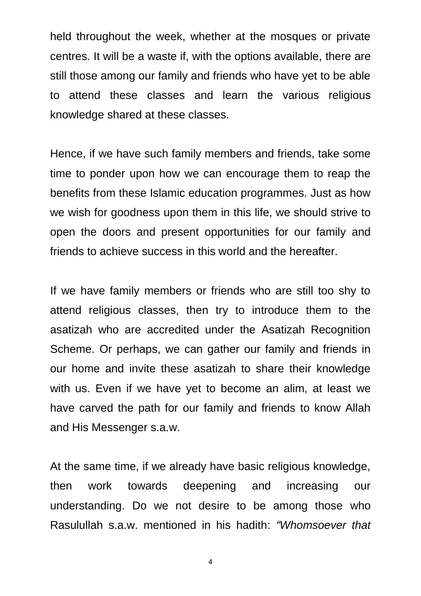held throughout the week, whether at the mosques or private centres. It will be a waste if, with the options available, there are still those among our family and friends who have yet to be able to attend these classes and learn the various religious knowledge shared at these classes.

Hence, if we have such family members and friends, take some time to ponder upon how we can encourage them to reap the benefits from these Islamic education programmes. Just as how we wish for goodness upon them in this life, we should strive to open the doors and present opportunities for our family and friends to achieve success in this world and the hereafter.

If we have family members or friends who are still too shy to attend religious classes, then try to introduce them to the asatizah who are accredited under the Asatizah Recognition Scheme. Or perhaps, we can gather our family and friends in our home and invite these asatizah to share their knowledge with us. Even if we have yet to become an alim, at least we have carved the path for our family and friends to know Allah and His Messenger s.a.w.

At the same time, if we already have basic religious knowledge, then work towards deepening and increasing our understanding. Do we not desire to be among those who Rasulullah s.a.w. mentioned in his hadith: *"Whomsoever that* 

4